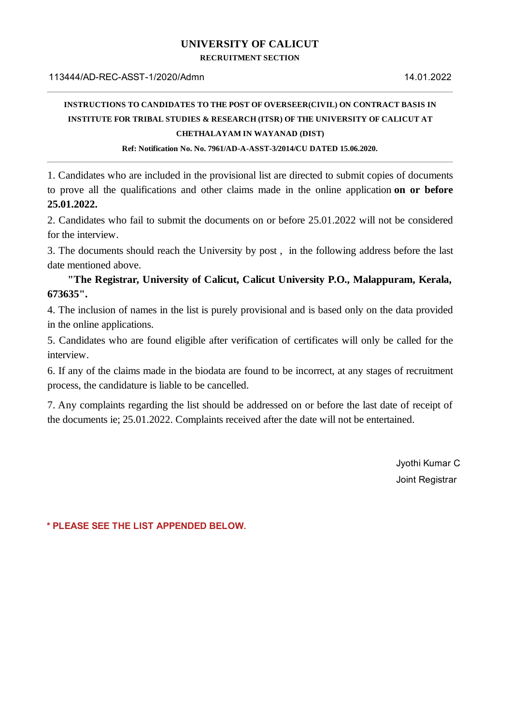## **UNIVERSITY OF CALICUT**

**RECRUITMENT SECTION**

## **INSTRUCTIONS TO CANDIDATES TO THE POST OF OVERSEER(CIVIL) ON CONTRACT BASIS IN INSTITUTE FOR TRIBAL STUDIES & RESEARCH (ITSR) OF THE UNIVERSITY OF CALICUT AT CHETHALAYAM IN WAYANAD (DIST)**

**Ref: Notification No. No. 7961/AD-A-ASST-3/2014/CU DATED 15.06.2020.**

1. Candidates who are included in the provisional list are directed to submit copies of documents to prove all the qualifications and other claims made in the online application **on or before 25.01.2022.**

2. Candidates who fail to submit the documents on or before 25.01.2022 will not be considered for the interview.

3. The documents should reach the University by post , in the following address before the last date mentioned above.

**"The Registrar, University of Calicut, Calicut University P.O., Malappuram, Kerala, 673635".**

4. The inclusion of names in the list is purely provisional and is based only on the data provided in the online applications.

5. Candidates who are found eligible after verification of certificates will only be called for the interview.

6. If any of the claims made in the biodata are found to be incorrect, at any stages of recruitment process, the candidature is liable to be cancelled.

7. Any complaints regarding the list should be addressed on or before the last date of receipt of the documents ie; 25.01.2022. Complaints received after the date will not be entertained.

> Jyothi Kumar C Joint Registrar

**\* PLEASE SEE THE LIST APPENDED BELOW.**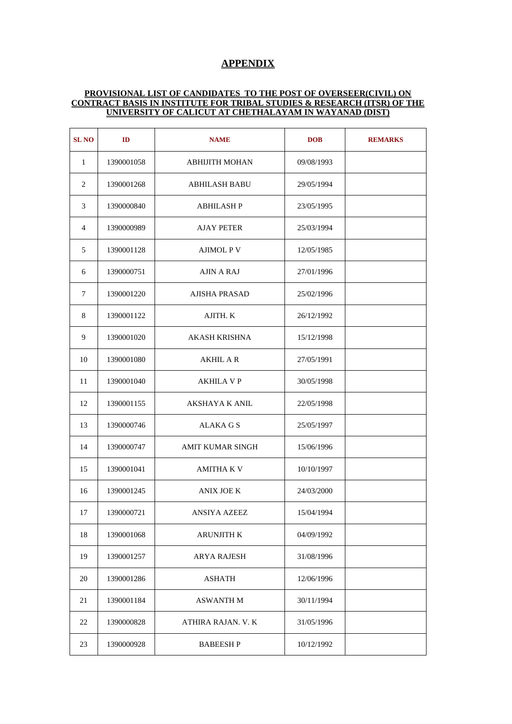## **APPENDIX**

## **PROVISIONAL LIST OF CANDIDATES TO THE POST OF OVERSEER(CIVIL) ON CONTRACT BASIS IN INSTITUTE FOR TRIBAL STUDIES & RESEARCH (ITSR) OF THE UNIVERSITY OF CALICUT AT CHETHALAYAM IN WAYANAD (DIST)**

| <b>SL NO</b>   | ID         | <b>NAME</b>           | <b>DOB</b> | <b>REMARKS</b> |
|----------------|------------|-----------------------|------------|----------------|
| $\mathbf{1}$   | 1390001058 | <b>ABHIJITH MOHAN</b> | 09/08/1993 |                |
| 2              | 1390001268 | <b>ABHILASH BABU</b>  | 29/05/1994 |                |
| 3              | 1390000840 | ABHILASH P            | 23/05/1995 |                |
| $\overline{4}$ | 1390000989 | AJAY PETER            | 25/03/1994 |                |
| 5              | 1390001128 | <b>AJIMOL P V</b>     | 12/05/1985 |                |
| 6              | 1390000751 | AJIN A RAJ            | 27/01/1996 |                |
| 7              | 1390001220 | <b>AJISHA PRASAD</b>  | 25/02/1996 |                |
| 8              | 1390001122 | AJITH. K              | 26/12/1992 |                |
| 9              | 1390001020 | AKASH KRISHNA         | 15/12/1998 |                |
| 10             | 1390001080 | <b>AKHIL A R</b>      | 27/05/1991 |                |
| 11             | 1390001040 | AKHILA V P            | 30/05/1998 |                |
| 12             | 1390001155 | AKSHAYA K ANIL        | 22/05/1998 |                |
| 13             | 1390000746 | ALAKA G S             | 25/05/1997 |                |
| 14             | 1390000747 | AMIT KUMAR SINGH      | 15/06/1996 |                |
| 15             | 1390001041 | AMITHA K V            | 10/10/1997 |                |
| 16             | 1390001245 | <b>ANIX JOE K</b>     | 24/03/2000 |                |
| $17\,$         | 1390000721 | <b>ANSIYA AZEEZ</b>   | 15/04/1994 |                |
| 18             | 1390001068 | <b>ARUNJITH K</b>     | 04/09/1992 |                |
| 19             | 1390001257 | ARYA RAJESH           | 31/08/1996 |                |
| 20             | 1390001286 | ASHATH                | 12/06/1996 |                |
| 21             | 1390001184 | ASWANTH M             | 30/11/1994 |                |
| 22             | 1390000828 | ATHIRA RAJAN. V. K    | 31/05/1996 |                |
| 23             | 1390000928 | <b>BABEESHP</b>       | 10/12/1992 |                |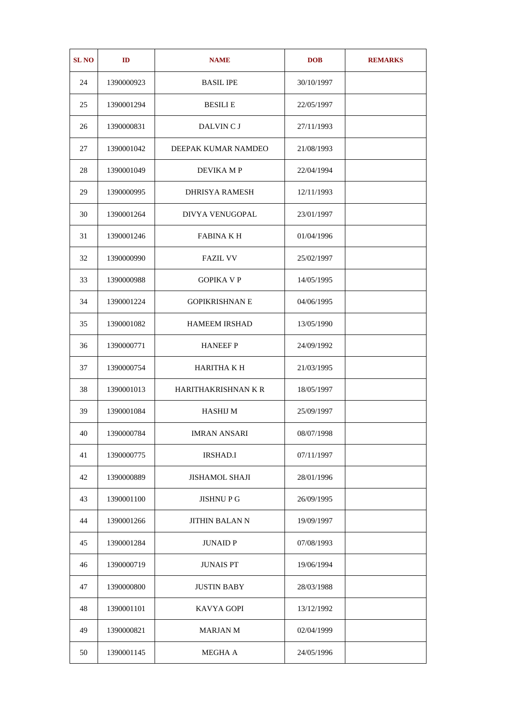| <b>SL NO</b> | ID         | <b>NAME</b>           | <b>DOB</b> | <b>REMARKS</b> |
|--------------|------------|-----------------------|------------|----------------|
| 24           | 1390000923 | <b>BASIL IPE</b>      | 30/10/1997 |                |
| 25           | 1390001294 | <b>BESILIE</b>        | 22/05/1997 |                |
| 26           | 1390000831 | DALVIN C J            | 27/11/1993 |                |
| 27           | 1390001042 | DEEPAK KUMAR NAMDEO   | 21/08/1993 |                |
| 28           | 1390001049 | DEVIKA M P            | 22/04/1994 |                |
| 29           | 1390000995 | DHRISYA RAMESH        | 12/11/1993 |                |
| 30           | 1390001264 | DIVYA VENUGOPAL       | 23/01/1997 |                |
| 31           | 1390001246 | <b>FABINA K H</b>     | 01/04/1996 |                |
| 32           | 1390000990 | <b>FAZIL VV</b>       | 25/02/1997 |                |
| 33           | 1390000988 | <b>GOPIKA V P</b>     | 14/05/1995 |                |
| 34           | 1390001224 | <b>GOPIKRISHNAN E</b> | 04/06/1995 |                |
| 35           | 1390001082 | <b>HAMEEM IRSHAD</b>  | 13/05/1990 |                |
| 36           | 1390000771 | <b>HANEEF P</b>       | 24/09/1992 |                |
| 37           | 1390000754 | HARITHA K H           | 21/03/1995 |                |
| 38           | 1390001013 | HARITHAKRISHNAN K R   | 18/05/1997 |                |
| 39           | 1390001084 | <b>HASHIJ M</b>       | 25/09/1997 |                |
| 40           | 1390000784 | <b>IMRAN ANSARI</b>   | 08/07/1998 |                |
| 41           | 1390000775 | <b>IRSHAD.I</b>       | 07/11/1997 |                |
| 42           | 1390000889 | <b>JISHAMOL SHAJI</b> | 28/01/1996 |                |
| 43           | 1390001100 | <b>JISHNUPG</b>       | 26/09/1995 |                |
| 44           | 1390001266 | JITHIN BALAN N        | 19/09/1997 |                |
| 45           | 1390001284 | <b>JUNAID P</b>       | 07/08/1993 |                |
| 46           | 1390000719 | <b>JUNAIS PT</b>      | 19/06/1994 |                |
| 47           | 1390000800 | <b>JUSTIN BABY</b>    | 28/03/1988 |                |
| 48           | 1390001101 | KAVYA GOPI            | 13/12/1992 |                |
| 49           | 1390000821 | <b>MARJAN M</b>       | 02/04/1999 |                |
| 50           | 1390001145 | MEGHA A               | 24/05/1996 |                |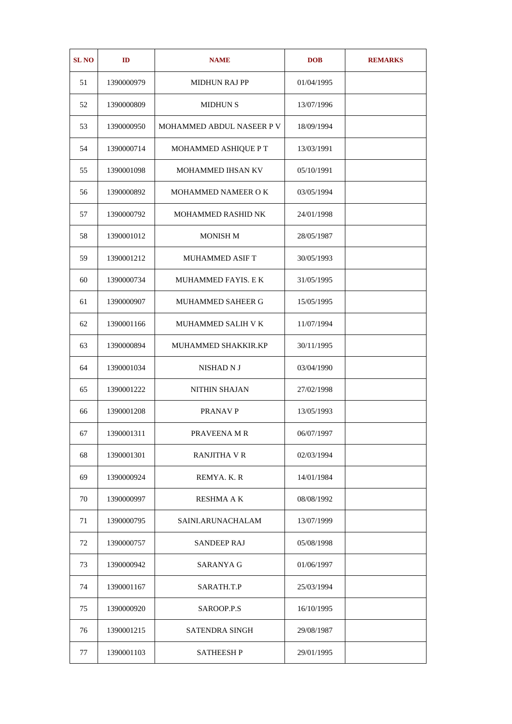| <b>SL NO</b> | ID         | <b>NAME</b>               | <b>DOB</b> | <b>REMARKS</b> |
|--------------|------------|---------------------------|------------|----------------|
| 51           | 1390000979 | <b>MIDHUN RAJ PP</b>      | 01/04/1995 |                |
| 52           | 1390000809 | <b>MIDHUN S</b>           | 13/07/1996 |                |
| 53           | 1390000950 | MOHAMMED ABDUL NASEER P V | 18/09/1994 |                |
| 54           | 1390000714 | MOHAMMED ASHIQUE P T      | 13/03/1991 |                |
| 55           | 1390001098 | MOHAMMED IHSAN KV         | 05/10/1991 |                |
| 56           | 1390000892 | MOHAMMED NAMEER O K       | 03/05/1994 |                |
| 57           | 1390000792 | MOHAMMED RASHID NK        | 24/01/1998 |                |
| 58           | 1390001012 | <b>MONISH M</b>           | 28/05/1987 |                |
| 59           | 1390001212 | <b>MUHAMMED ASIF T</b>    | 30/05/1993 |                |
| 60           | 1390000734 | MUHAMMED FAYIS. E K       | 31/05/1995 |                |
| 61           | 1390000907 | MUHAMMED SAHEER G         | 15/05/1995 |                |
| 62           | 1390001166 | MUHAMMED SALIH V K        | 11/07/1994 |                |
| 63           | 1390000894 | MUHAMMED SHAKKIR.KP       | 30/11/1995 |                |
| 64           | 1390001034 | NISHAD N J                | 03/04/1990 |                |
| 65           | 1390001222 | <b>NITHIN SHAJAN</b>      | 27/02/1998 |                |
| 66           | 1390001208 | <b>PRANAV P</b>           | 13/05/1993 |                |
| 67           | 1390001311 | PRAVEENA M R              | 06/07/1997 |                |
| 68           | 1390001301 | <b>RANJITHA V R</b>       | 02/03/1994 |                |
| 69           | 1390000924 | REMYA. K. R               | 14/01/1984 |                |
| 70           | 1390000997 | RESHMA A K                | 08/08/1992 |                |
| 71           | 1390000795 | SAINI.ARUNACHALAM         | 13/07/1999 |                |
| 72           | 1390000757 | <b>SANDEEP RAJ</b>        | 05/08/1998 |                |
| 73           | 1390000942 | SARANYA G                 | 01/06/1997 |                |
| 74           | 1390001167 | SARATH.T.P                | 25/03/1994 |                |
| 75           | 1390000920 | SAROOP.P.S                | 16/10/1995 |                |
| 76           | 1390001215 | SATENDRA SINGH            | 29/08/1987 |                |
| 77           | 1390001103 | <b>SATHEESHP</b>          | 29/01/1995 |                |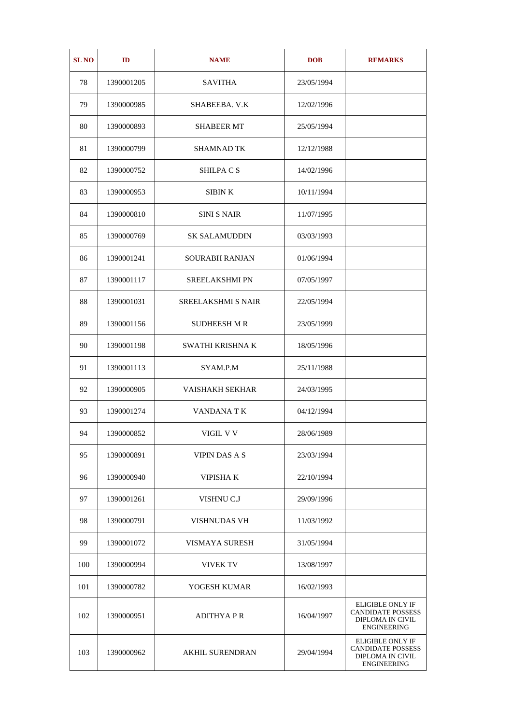| <b>SL NO</b> | ID         | <b>NAME</b>               | <b>DOB</b> | <b>REMARKS</b>                                                                         |
|--------------|------------|---------------------------|------------|----------------------------------------------------------------------------------------|
| 78           | 1390001205 | <b>SAVITHA</b>            | 23/05/1994 |                                                                                        |
| 79           | 1390000985 | SHABEEBA. V.K             | 12/02/1996 |                                                                                        |
| 80           | 1390000893 | SHABEER MT                | 25/05/1994 |                                                                                        |
| 81           | 1390000799 | SHAMNAD TK                | 12/12/1988 |                                                                                        |
| 82           | 1390000752 | SHILPA C S                | 14/02/1996 |                                                                                        |
| 83           | 1390000953 | SIBIN K                   | 10/11/1994 |                                                                                        |
| 84           | 1390000810 | SINI S NAIR               | 11/07/1995 |                                                                                        |
| 85           | 1390000769 | <b>SK SALAMUDDIN</b>      | 03/03/1993 |                                                                                        |
| 86           | 1390001241 | SOURABH RANJAN            | 01/06/1994 |                                                                                        |
| 87           | 1390001117 | <b>SREELAKSHMI PN</b>     | 07/05/1997 |                                                                                        |
| 88           | 1390001031 | <b>SREELAKSHMI S NAIR</b> | 22/05/1994 |                                                                                        |
| 89           | 1390001156 | <b>SUDHEESH M R</b>       | 23/05/1999 |                                                                                        |
| 90           | 1390001198 | SWATHI KRISHNA K          | 18/05/1996 |                                                                                        |
| 91           | 1390001113 | SYAM.P.M                  | 25/11/1988 |                                                                                        |
| 92           | 1390000905 | <b>VAISHAKH SEKHAR</b>    | 24/03/1995 |                                                                                        |
| 93           | 1390001274 | VANDANA T K               | 04/12/1994 |                                                                                        |
| 94           | 1390000852 | VIGIL V V                 | 28/06/1989 |                                                                                        |
| 95           | 1390000891 | <b>VIPIN DAS A S</b>      | 23/03/1994 |                                                                                        |
| 96           | 1390000940 | VIPISHA K                 | 22/10/1994 |                                                                                        |
| 97           | 1390001261 | VISHNU C.J                | 29/09/1996 |                                                                                        |
| 98           | 1390000791 | VISHNUDAS VH              | 11/03/1992 |                                                                                        |
| 99           | 1390001072 | VISMAYA SURESH            | 31/05/1994 |                                                                                        |
| 100          | 1390000994 | <b>VIVEK TV</b>           | 13/08/1997 |                                                                                        |
| 101          | 1390000782 | YOGESH KUMAR              | 16/02/1993 |                                                                                        |
| 102          | 1390000951 | <b>ADITHYAPR</b>          | 16/04/1997 | <b>ELIGIBLE ONLY IF</b><br><b>CANDIDATE POSSESS</b><br>DIPLOMA IN CIVIL<br>ENGINEERING |
| 103          | 1390000962 | <b>AKHIL SURENDRAN</b>    | 29/04/1994 | <b>ELIGIBLE ONLY IF</b><br><b>CANDIDATE POSSESS</b><br>DIPLOMA IN CIVIL<br>ENGINEERING |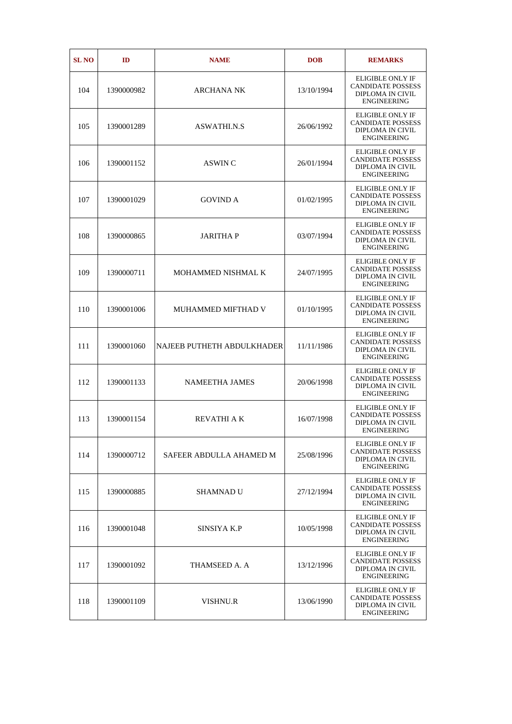| <b>SL NO</b> | ID         | <b>NAME</b>                | <b>DOB</b> | <b>REMARKS</b>                                                                                |
|--------------|------------|----------------------------|------------|-----------------------------------------------------------------------------------------------|
| 104          | 1390000982 | ARCHANA NK                 | 13/10/1994 | <b>ELIGIBLE ONLY IF</b><br><b>CANDIDATE POSSESS</b><br>DIPLOMA IN CIVIL<br><b>ENGINEERING</b> |
| 105          | 1390001289 | ASWATHI.N.S                | 26/06/1992 | <b>ELIGIBLE ONLY IF</b><br><b>CANDIDATE POSSESS</b><br>DIPLOMA IN CIVIL<br><b>ENGINEERING</b> |
| 106          | 1390001152 | ASWIN C                    | 26/01/1994 | <b>ELIGIBLE ONLY IF</b><br><b>CANDIDATE POSSESS</b><br>DIPLOMA IN CIVIL<br><b>ENGINEERING</b> |
| 107          | 1390001029 | <b>GOVIND A</b>            | 01/02/1995 | <b>ELIGIBLE ONLY IF</b><br><b>CANDIDATE POSSESS</b><br>DIPLOMA IN CIVIL<br><b>ENGINEERING</b> |
| 108          | 1390000865 | <b>JARITHAP</b>            | 03/07/1994 | <b>ELIGIBLE ONLY IF</b><br><b>CANDIDATE POSSESS</b><br>DIPLOMA IN CIVIL<br><b>ENGINEERING</b> |
| 109          | 1390000711 | <b>MOHAMMED NISHMAL K</b>  | 24/07/1995 | <b>ELIGIBLE ONLY IF</b><br><b>CANDIDATE POSSESS</b><br>DIPLOMA IN CIVIL<br><b>ENGINEERING</b> |
| 110          | 1390001006 | <b>MUHAMMED MIFTHAD V</b>  | 01/10/1995 | <b>ELIGIBLE ONLY IF</b><br><b>CANDIDATE POSSESS</b><br>DIPLOMA IN CIVIL<br><b>ENGINEERING</b> |
| 111          | 1390001060 | NAJEEB PUTHETH ABDULKHADER | 11/11/1986 | <b>ELIGIBLE ONLY IF</b><br><b>CANDIDATE POSSESS</b><br>DIPLOMA IN CIVIL<br><b>ENGINEERING</b> |
| 112          | 1390001133 | <b>NAMEETHA JAMES</b>      | 20/06/1998 | <b>ELIGIBLE ONLY IF</b><br><b>CANDIDATE POSSESS</b><br>DIPLOMA IN CIVIL<br><b>ENGINEERING</b> |
| 113          | 1390001154 | <b>REVATHI A K</b>         | 16/07/1998 | <b>ELIGIBLE ONLY IF</b><br><b>CANDIDATE POSSESS</b><br>DIPLOMA IN CIVIL<br>ENGINEERING        |
| 114          | 1390000712 | SAFEER ABDULLA AHAMED M    | 25/08/1996 | ELIGIBLE ONLY IF<br><b>CANDIDATE POSSESS</b><br>DIPLOMA IN CIVIL<br><b>ENGINEERING</b>        |
| 115          | 1390000885 | SHAMNAD U                  | 27/12/1994 | <b>ELIGIBLE ONLY IF</b><br><b>CANDIDATE POSSESS</b><br>DIPLOMA IN CIVIL<br>ENGINEERING        |
| 116          | 1390001048 | SINSIYA K.P                | 10/05/1998 | <b>ELIGIBLE ONLY IF</b><br><b>CANDIDATE POSSESS</b><br>DIPLOMA IN CIVIL<br><b>ENGINEERING</b> |
| 117          | 1390001092 | THAMSEED A. A              | 13/12/1996 | <b>ELIGIBLE ONLY IF</b><br><b>CANDIDATE POSSESS</b><br>DIPLOMA IN CIVIL<br>ENGINEERING        |
| 118          | 1390001109 | VISHNU.R                   | 13/06/1990 | <b>ELIGIBLE ONLY IF</b><br><b>CANDIDATE POSSESS</b><br>DIPLOMA IN CIVIL<br>ENGINEERING        |